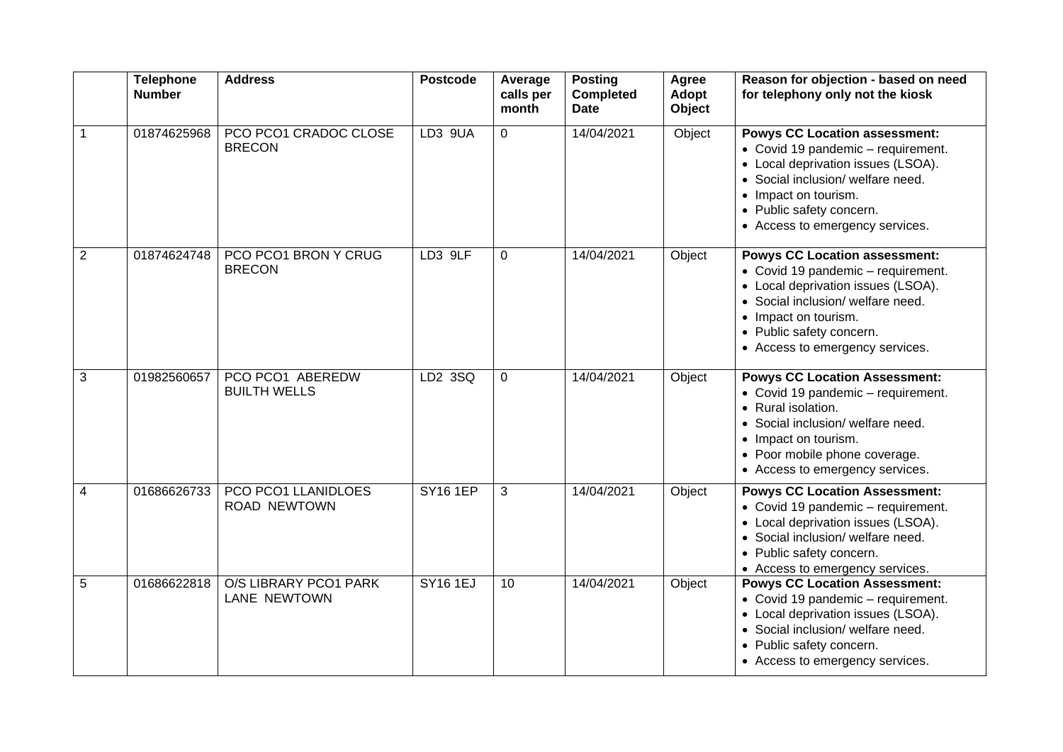|                | <b>Telephone</b><br><b>Number</b> | <b>Address</b>                               | <b>Postcode</b> | Average<br>calls per<br>month | <b>Posting</b><br><b>Completed</b><br><b>Date</b> | Agree<br>Adopt<br>Object | Reason for objection - based on need<br>for telephony only not the kiosk                                                                                                                                                                     |
|----------------|-----------------------------------|----------------------------------------------|-----------------|-------------------------------|---------------------------------------------------|--------------------------|----------------------------------------------------------------------------------------------------------------------------------------------------------------------------------------------------------------------------------------------|
| 1              | 01874625968                       | PCO PCO1 CRADOC CLOSE<br><b>BRECON</b>       | LD3 9UA         | $\overline{0}$                | 14/04/2021                                        | Object                   | <b>Powys CC Location assessment:</b><br>• Covid 19 pandemic - requirement.<br>• Local deprivation issues (LSOA).<br>• Social inclusion/ welfare need.<br>• Impact on tourism.<br>• Public safety concern.<br>• Access to emergency services. |
| $\overline{2}$ | 01874624748                       | PCO PCO1 BRON Y CRUG<br><b>BRECON</b>        | LD3 9LF         | $\overline{0}$                | 14/04/2021                                        | Object                   | <b>Powys CC Location assessment:</b><br>• Covid 19 pandemic - requirement.<br>• Local deprivation issues (LSOA).<br>• Social inclusion/ welfare need.<br>• Impact on tourism.<br>• Public safety concern.<br>• Access to emergency services. |
| 3              | 01982560657                       | PCO PCO1 ABEREDW<br><b>BUILTH WELLS</b>      | LD2 3SQ         | 0                             | 14/04/2021                                        | Object                   | <b>Powys CC Location Assessment:</b><br>• Covid 19 pandemic - requirement.<br>• Rural isolation.<br>• Social inclusion/ welfare need.<br>• Impact on tourism.<br>• Poor mobile phone coverage.<br>• Access to emergency services.            |
| 4              | 01686626733                       | PCO PCO1 LLANIDLOES<br><b>ROAD NEWTOWN</b>   | <b>SY16 1EP</b> | 3                             | 14/04/2021                                        | Object                   | <b>Powys CC Location Assessment:</b><br>• Covid 19 pandemic - requirement.<br>• Local deprivation issues (LSOA).<br>• Social inclusion/ welfare need.<br>• Public safety concern.<br>• Access to emergency services.                         |
| 5              | 01686622818                       | O/S LIBRARY PCO1 PARK<br><b>LANE NEWTOWN</b> | <b>SY161EJ</b>  | 10                            | 14/04/2021                                        | Object                   | <b>Powys CC Location Assessment:</b><br>• Covid 19 pandemic - requirement.<br>• Local deprivation issues (LSOA).<br>• Social inclusion/ welfare need.<br>• Public safety concern.<br>• Access to emergency services.                         |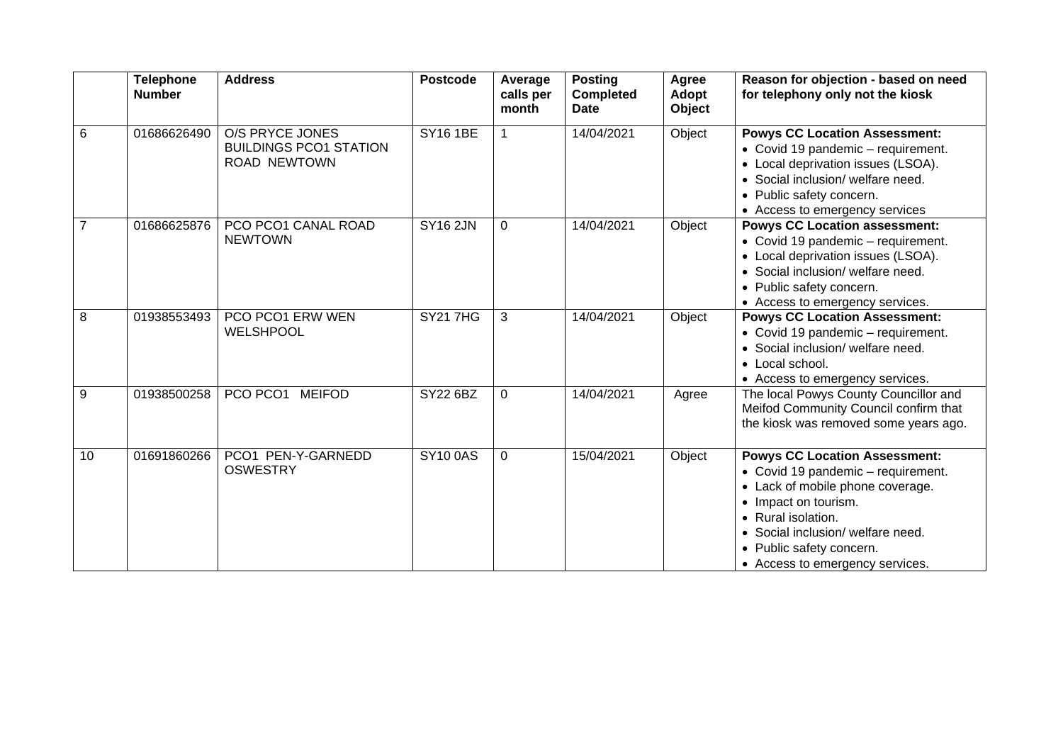|    | <b>Telephone</b><br><b>Number</b> | <b>Address</b>                                                          | <b>Postcode</b> | Average<br>calls per<br>month | <b>Posting</b><br><b>Completed</b><br>Date | Agree<br>Adopt<br>Object | Reason for objection - based on need<br>for telephony only not the kiosk                                                                                                                                                                                         |
|----|-----------------------------------|-------------------------------------------------------------------------|-----------------|-------------------------------|--------------------------------------------|--------------------------|------------------------------------------------------------------------------------------------------------------------------------------------------------------------------------------------------------------------------------------------------------------|
| 6  | 01686626490                       | <b>O/S PRYCE JONES</b><br><b>BUILDINGS PCO1 STATION</b><br>ROAD NEWTOWN | <b>SY16 1BE</b> | 1                             | 14/04/2021                                 | Object                   | <b>Powys CC Location Assessment:</b><br>• Covid 19 pandemic - requirement.<br>• Local deprivation issues (LSOA).<br>• Social inclusion/ welfare need.<br>• Public safety concern.<br>• Access to emergency services                                              |
| 7  | 01686625876                       | PCO PCO1 CANAL ROAD<br><b>NEWTOWN</b>                                   | <b>SY16 2JN</b> | $\Omega$                      | 14/04/2021                                 | Object                   | <b>Powys CC Location assessment:</b><br>• Covid 19 pandemic - requirement.<br>• Local deprivation issues (LSOA).<br>• Social inclusion/ welfare need.<br>• Public safety concern.<br>• Access to emergency services.                                             |
| 8  | 01938553493                       | PCO PCO1 ERW WEN<br><b>WELSHPOOL</b>                                    | <b>SY217HG</b>  | 3                             | 14/04/2021                                 | Object                   | <b>Powys CC Location Assessment:</b><br>• Covid 19 pandemic - requirement.<br>• Social inclusion/ welfare need.<br>• Local school.<br>• Access to emergency services.                                                                                            |
| 9  | 01938500258                       | PCO PCO1<br><b>MEIFOD</b>                                               | SY22 6BZ        | $\mathbf 0$                   | 14/04/2021                                 | Agree                    | The local Powys County Councillor and<br>Meifod Community Council confirm that<br>the kiosk was removed some years ago.                                                                                                                                          |
| 10 | 01691860266                       | PCO1 PEN-Y-GARNEDD<br><b>OSWESTRY</b>                                   | <b>SY100AS</b>  | $\Omega$                      | 15/04/2021                                 | Object                   | <b>Powys CC Location Assessment:</b><br>• Covid 19 pandemic - requirement.<br>• Lack of mobile phone coverage.<br>• Impact on tourism.<br>• Rural isolation.<br>• Social inclusion/ welfare need.<br>• Public safety concern.<br>• Access to emergency services. |